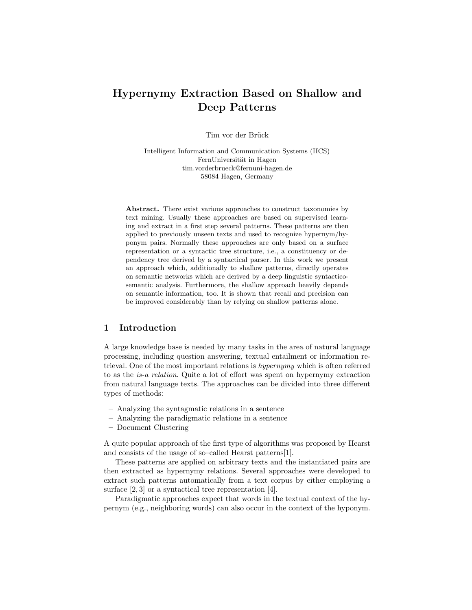# Hypernymy Extraction Based on Shallow and Deep Patterns

Tim vor der Brück

Intelligent Information and Communication Systems (IICS) FernUniversität in Hagen tim.vorderbrueck@fernuni-hagen.de 58084 Hagen, Germany

Abstract. There exist various approaches to construct taxonomies by text mining. Usually these approaches are based on supervised learning and extract in a first step several patterns. These patterns are then applied to previously unseen texts and used to recognize hypernym/hyponym pairs. Normally these approaches are only based on a surface representation or a syntactic tree structure, i.e., a constituency or dependency tree derived by a syntactical parser. In this work we present an approach which, additionally to shallow patterns, directly operates on semantic networks which are derived by a deep linguistic syntacticosemantic analysis. Furthermore, the shallow approach heavily depends on semantic information, too. It is shown that recall and precision can be improved considerably than by relying on shallow patterns alone.

#### 1 Introduction

A large knowledge base is needed by many tasks in the area of natural language processing, including question answering, textual entailment or information retrieval. One of the most important relations is hypernymy which is often referred to as the is-a relation. Quite a lot of effort was spent on hypernymy extraction from natural language texts. The approaches can be divided into three different types of methods:

- Analyzing the syntagmatic relations in a sentence
- Analyzing the paradigmatic relations in a sentence
- Document Clustering

A quite popular approach of the first type of algorithms was proposed by Hearst and consists of the usage of so–called Hearst patterns[1].

These patterns are applied on arbitrary texts and the instantiated pairs are then extracted as hypernymy relations. Several approaches were developed to extract such patterns automatically from a text corpus by either employing a surface [2, 3] or a syntactical tree representation [4].

Paradigmatic approaches expect that words in the textual context of the hypernym (e.g., neighboring words) can also occur in the context of the hyponym.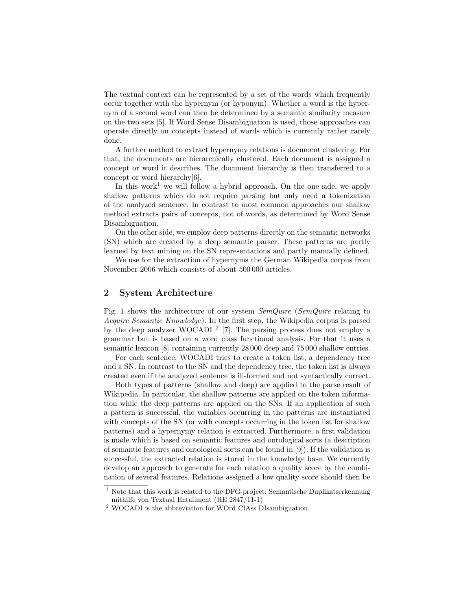The textual context can be represented by a set of the words which frequently occur together with the hypernym (or hyponym). Whether a word is the hypernym of a second word can then be determined by a semantic similarity measure on the two sets [5]. If Word Sense Disambiguation is used, those approaches can operate directly on concepts instead of words which is currently rather rarely done.

A further method to extract hypernymy relations is document clustering. For that, the documents are hierarchically clustered. Each document is assigned a concept or word it describes. The document hierarchy is then transferred to a concept or word hierarchy[6].

In this work<sup>1</sup> we will follow a hybrid approach. On the one side, we apply shallow patterns which do not require parsing but only need a tokenization of the analyzed sentence. In contrast to most common approaches our shallow method extracts pairs of concepts, not of words, as determined by Word Sense Disambiguation.

On the other side, we employ deep patterns directly on the semantic networks (SN) which are created by a deep semantic parser. These patterns are partly learned by text mining on the SN representations and partly manually defined.

We use for the extraction of hypernyms the German Wikipedia corpus from November 2006 which consists of about 500 000 articles.

#### 2 System Architecture

Fig. 1 shows the architecture of our system SemQuire (SemQuire relating to Acquire Semantic Knowledge). In the first step, the Wikipedia corpus is parsed by the deep analyzer WOCADI  $^2$  [7]. The parsing process does not employ a grammar but is based on a word class functional analysis. For that it uses a semantic lexicon [8] containing currently 28 000 deep and 75 000 shallow entries.

For each sentence, WOCADI tries to create a token list, a dependency tree and a SN. In contrast to the SN and the dependency tree, the token list is always created even if the analyzed sentence is ill-formed and not syntactically correct.

Both types of patterns (shallow and deep) are applied to the parse result of Wikipedia. In particular, the shallow patterns are applied on the token information while the deep patterns are applied on the SNs. If an application of such a pattern is successful, the variables occurring in the patterns are instantiated with concepts of the SN (or with concepts occurring in the token list for shallow patterns) and a hypernymy relation is extracted. Furthermore, a first validation is made which is based on semantic features and ontological sorts (a description of semantic features and ontological sorts can be found in [9]). If the validation is successful, the extracted relation is stored in the knowledge base. We currently develop an approach to generate for each relation a quality score by the combination of several features. Relations assigned a low quality score should then be

<sup>1</sup> Note that this work is related to the DFG-project: Semantische Duplikatserkennung mithilfe von Textual Entailment (HE 2847/11-1)

<sup>2</sup> WOCADI is the abbreviation for WOrd ClAss DIsambiguation.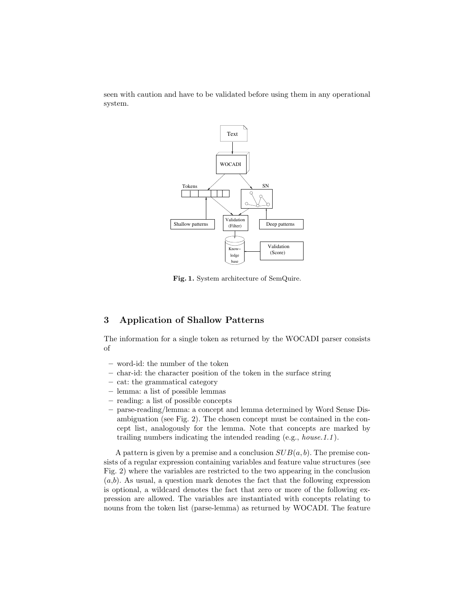seen with caution and have to be validated before using them in any operational system.



Fig. 1. System architecture of SemQuire.

## 3 Application of Shallow Patterns

The information for a single token as returned by the WOCADI parser consists of

- word-id: the number of the token
- char-id: the character position of the token in the surface string
- cat: the grammatical category
- lemma: a list of possible lemmas
- reading: a list of possible concepts
- parse-reading/lemma: a concept and lemma determined by Word Sense Disambiguation (see Fig. 2). The chosen concept must be contained in the concept list, analogously for the lemma. Note that concepts are marked by trailing numbers indicating the intended reading (e.g., house.1.1 ).

A pattern is given by a premise and a conclusion  $SUB(a, b)$ . The premise consists of a regular expression containing variables and feature value structures (see Fig. 2) where the variables are restricted to the two appearing in the conclusion  $(a,b)$ . As usual, a question mark denotes the fact that the following expression is optional, a wildcard denotes the fact that zero or more of the following expression are allowed. The variables are instantiated with concepts relating to nouns from the token list (parse-lemma) as returned by WOCADI. The feature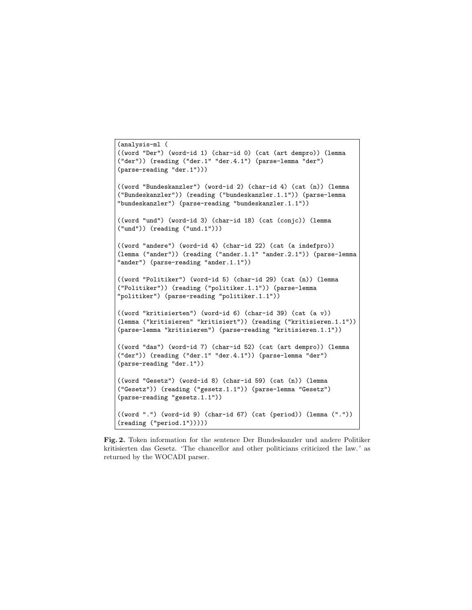```
(analysis-ml (
((word "Der") (word-id 1) (char-id 0) (cat (art dempro)) (lemma
("der")) (reading ("der.1" "der.4.1") (parse-lemma "der")
(parse-reading "der.1")))
((word "Bundeskanzler") (word-id 2) (char-id 4) (cat (n)) (lemma
("Bundeskanzler")) (reading ("bundeskanzler.1.1")) (parse-lemma
"bundeskanzler") (parse-reading "bundeskanzler.1.1"))
((word "und") (word-id 3) (char-id 18) (cat (conjc)) (lemma
("und")) (reading ("und.1")))
((word "andere") (word-id 4) (char-id 22) (cat (a indefpro))
(lemma ("ander")) (reading ("ander.1.1" "ander.2.1")) (parse-lemma
"ander") (parse-reading "ander.1.1"))
((word "Politiker") (word-id 5) (char-id 29) (cat (n)) (lemma
("Politiker")) (reading ("politiker.1.1")) (parse-lemma
"politiker") (parse-reading "politiker.1.1"))
((word "kritisierten") (word-id 6) (char-id 39) (cat (a v))
(lemma ("kritisieren" "kritisiert")) (reading ("kritisieren.1.1"))
(parse-lemma "kritisieren") (parse-reading "kritisieren.1.1"))
((word "das") (word-id 7) (char-id 52) (cat (art dempro)) (lemma
("der")) (reading ("der.1" "der.4.1")) (parse-lemma "der")
(parse-reading "der.1"))
((word "Gesetz") (word-id 8) (char-id 59) (cat (n)) (lemma
("Gesetz")) (reading ("gesetz.1.1")) (parse-lemma "Gesetz")
(parse-reading "gesetz.1.1"))
((word ".") (word-id 9) (char-id 67) (cat (period)) (lemma ("."))
(reading ("period.1")))))
```
Fig. 2. Token information for the sentence Der Bundeskanzler und andere Politiker kritisierten das Gesetz. 'The chancellor and other politicians criticized the law.' as returned by the WOCADI parser.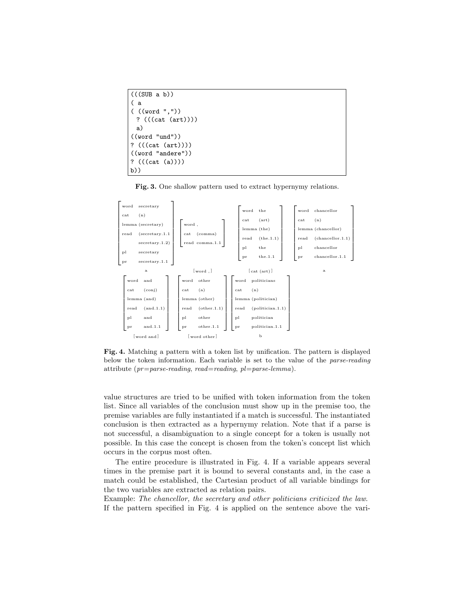```
(((SUB a b))( a
( ((word ","))
 ? (((cat (art))))
 a)
((word "und"))
? (((cat (art))))
((word "andere"))
? (((cat (a))))
b))
```
Fig. 3. One shallow pattern used to extract hypernymy relations.



Fig. 4. Matching a pattern with a token list by unification. The pattern is displayed below the token information. Each variable is set to the value of the parse-reading attribute ( $pr = parse\text{-}reading, read = reading, pl = parse\text{-}lemma$ ).

value structures are tried to be unified with token information from the token list. Since all variables of the conclusion must show up in the premise too, the premise variables are fully instantiated if a match is successful. The instantiated conclusion is then extracted as a hypernymy relation. Note that if a parse is not successful, a disambiguation to a single concept for a token is usually not possible. In this case the concept is chosen from the token's concept list which occurs in the corpus most often.

The entire procedure is illustrated in Fig. 4. If a variable appears several times in the premise part it is bound to several constants and, in the case a match could be established, the Cartesian product of all variable bindings for the two variables are extracted as relation pairs.

Example: The chancellor, the secretary and other politicians criticized the law. If the pattern specified in Fig. 4 is applied on the sentence above the vari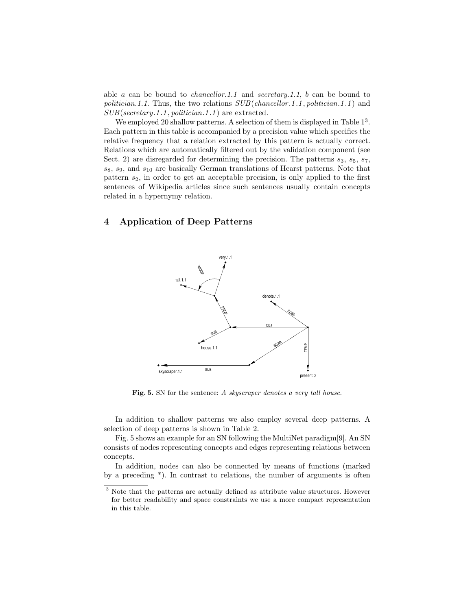able a can be bound to *chancellor.1.1* and *secretary.1.1*, b can be bound to politician.1.1. Thus, the two relations  $SUB(channellor .1.1, politician .1.1)$  and SUB(secretary.1 .1 , politician.1 .1 ) are extracted.

We employed 20 shallow patterns. A selection of them is displayed in Table  $1<sup>3</sup>$ . Each pattern in this table is accompanied by a precision value which specifies the relative frequency that a relation extracted by this pattern is actually correct. Relations which are automatically filtered out by the validation component (see Sect. 2) are disregarded for determining the precision. The patterns  $s_3$ ,  $s_5$ ,  $s_7$ ,  $s_8$ ,  $s_9$ , and  $s_{10}$  are basically German translations of Hearst patterns. Note that pattern  $s_2$ , in order to get an acceptable precision, is only applied to the first sentences of Wikipedia articles since such sentences usually contain concepts related in a hypernymy relation.

## 4 Application of Deep Patterns



Fig. 5. SN for the sentence: A skyscraper denotes a very tall house.

In addition to shallow patterns we also employ several deep patterns. A selection of deep patterns is shown in Table 2.

Fig. 5 shows an example for an SN following the MultiNet paradigm[9]. An SN consists of nodes representing concepts and edges representing relations between concepts.

In addition, nodes can also be connected by means of functions (marked by a preceding \*). In contrast to relations, the number of arguments is often

<sup>3</sup> Note that the patterns are actually defined as attribute value structures. However for better readability and space constraints we use a more compact representation in this table.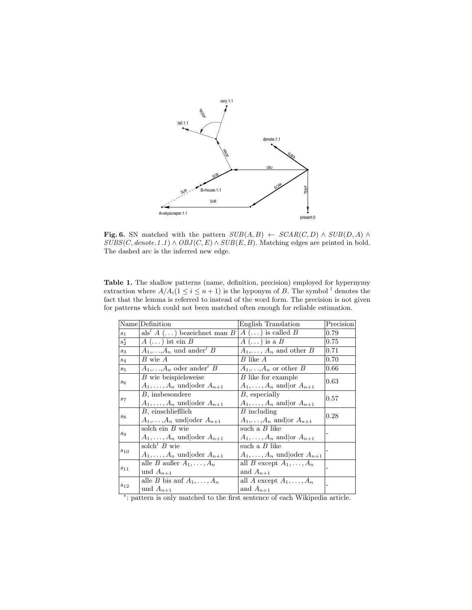

**Fig. 6.** SN matched with the pattern  $SUB(A, B) \leftarrow SCAR(C, D) \wedge SUB(D, A) \wedge$  $SUBS(C, denote.1.1) \wedge OBJ(C, E) \wedge SUB(E, B)$ . Matching edges are printed in bold. The dashed arc is the inferred new edge.

| <b>Table 1.</b> The shallow patterns (name, definition, precision) employed for hypernymy            |
|------------------------------------------------------------------------------------------------------|
| extraction where $A/A_i(1 \leq i \leq n+1)$ is the hyponym of B. The symbol <sup>l</sup> denotes the |
| fact that the lemma is referred to instead of the word form. The precision is not given              |
| for patterns which could not been matched often enough for reliable estimation.                      |

|                 | Name Definition                                   | English Translation                   | Precision |
|-----------------|---------------------------------------------------|---------------------------------------|-----------|
| $s_1$           | als' $A(\ldots)$ bezeichnet man $B$               | $A(\ldots)$ is called $B$             | 0.79      |
| $ s_2^* $       | $A(\ldots)$ ist ein $B$                           | $A(\ldots)$ is a $B$                  | 0.75      |
| $s_3$           | $A_1,\ldots,A_n$ und ander <sup>l</sup> B         | $A_1,\ldots,A_n$ and other B          | 0.71      |
| $s_4$           | $B$ wie $A$                                       | $B$ like $A$                          | 0.70      |
| $s_{5}$         | $A_1,\ldots,A_n$ oder ander <sup><i>l</i></sup> B | $A_1,\ldots,A_n$ or other B           | 0.66      |
| s <sub>6</sub>  | $B$ wie beispielsweise                            | B like for example                    | 0.63      |
|                 | $A_1,\ldots,A_n$ und oder $A_{n+1}$               | $A_1,\ldots,A_n$ and or $A_{n+1}$     |           |
|                 | <i>B</i> , insbesondere                           | $B$ , especially                      | 0.57      |
| $s_7$           | $A_1, \ldots, A_n$ und oder $A_{n+1}$             | $A_1, \ldots, A_n$ and or $A_{n+1}$   |           |
|                 | $B$ , einschließlich                              | $B$ including                         | 0.28      |
| $s_{8}$         | $A_1,\ldots,A_n$ und oder $A_{n+1}$               | $A_1,\ldots,A_n$ and or $A_{n+1}$     |           |
|                 | solch ein $B$ wie                                 | such a $B$ like                       |           |
| $s_9$           | $A_1,\ldots,A_n$ und oder $A_{n+1}$               | $A_1,\ldots,A_n$ and or $A_{n+1}$     |           |
|                 | solch <sup><math>l</math></sup> $B$ wie           | such a $B$ like                       |           |
| $\sqrt{s_{10}}$ | $A_1,\ldots,A_n$ und oder $A_{n+1}$               | $A_1, \ldots, A_n$ und oder $A_{n+1}$ |           |
| $ s_{11} $      | alle B außer $A_1, \ldots, A_n$                   | all B except $A_1, \ldots, A_n$       |           |
|                 | und $A_{n+1}$                                     | and $A_{n+1}$                         |           |
| $s_{12}$        | alle <i>B</i> bis auf $A_1, \ldots, A_n$          | all A except $A_1, \ldots, A_n$       |           |
|                 | und $A_{n+1}$                                     | and $A_{n+1}$                         |           |

∗ : pattern is only matched to the first sentence of each Wikipedia article.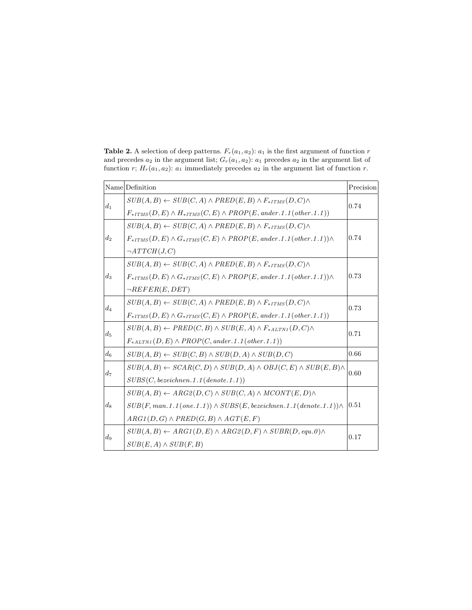|       | Name Definition                                                                             | Precision |  |
|-------|---------------------------------------------------------------------------------------------|-----------|--|
| $d_1$ | $SUB(A, B) \leftarrow SUB(C, A) \land PRED(E, B) \land F_{*ITMS}(D, C) \land$               | 0.74      |  |
|       | $F_{*ITMS}(D, E) \wedge H_{*ITMS}(C, E) \wedge PROP(E, and er.1.1(other.1.1))$              |           |  |
| $d_2$ | $SUB(A, B) \leftarrow SUB(C, A) \land PRED(E, B) \land F_{*ITMS}(D, C) \land$               |           |  |
|       | $F_{*ITMS}(D, E) \wedge G_{*ITMS}(C, E) \wedge PROP(E, and er. 1.1(other.1.1)) \wedge$      | 0.74      |  |
|       | $\neg ATTCH(J, C)$                                                                          |           |  |
|       | $SUB(A, B) \leftarrow SUB(C, A) \land PRED(E, B) \land F_{*ITMS}(D, C) \land$               | 0.73      |  |
| $d_3$ | $F_{*ITMS}(D, E) \wedge G_{*ITMS}(C, E) \wedge PROP(E, and er.1.1(other.1.1)) \wedge$       |           |  |
|       | $\neg REFER(E, DET)$                                                                        |           |  |
| $d_4$ | $SUB(A, B) \leftarrow SUB(C, A) \land PRED(E, B) \land F_{*ITMS}(D, C) \land$               | 0.73      |  |
|       | $F_{*ITMS}(D, E) \wedge G_{*ITMS}(C, E) \wedge PROP(E, and er.1.1(other.1.1))$              |           |  |
| $d_5$ | $SUB(A, B) \leftarrow PRED(C, B) \wedge SUB(E, A) \wedge F_{*ALTNI}(D, C) \wedge$           | 0.71      |  |
|       | $F_{*ALTMI}(D, E) \wedge PROP(C, and er.1.1(other.1.1))$                                    |           |  |
| $d_6$ | $SUB(A, B) \leftarrow SUB(C, B) \land SUB(D, A) \land SUB(D, C)$                            | 0.66      |  |
|       | $SUB(A, B) \leftarrow SCAR(C, D) \wedge SUB(D, A) \wedge OBJ(C, E) \wedge SUB(E, B) \wedge$ | 0.60      |  |
| $d_7$ | SUBS(C, bezeichnet.1.1(denote.1.1))                                                         |           |  |
|       | $SUB(A, B) \leftarrow ARG2(D, C) \wedge SUB(C, A) \wedge MCONT(E, D) \wedge$                |           |  |
| $d_8$ | $SUB(F, man.1.1(one.1.1)) \wedge SUBS(E, bezeichnet.1.1(denote.1.1)) \wedge$                | 0.51      |  |
|       | $ARG1(D,G) \wedge PRED(G,B) \wedge AGT(E,F)$                                                |           |  |
| $d_9$ | $SUB(A, B) \leftarrow ARG1(D, E) \land ARG2(D, F) \land SUBR(D, equ. 0) \land$              | 0.17      |  |
|       | $SUB(E, A) \wedge SUB(F, B)$                                                                |           |  |

Table 2. A selection of deep patterns.  $F_r(a_1, a_2)$ :  $a_1$  is the first argument of function  $r$ and precedes  $a_2$  in the argument list;  $G_r(a_1, a_2)$ :  $a_1$  precedes  $a_2$  in the argument list of function r;  $H_r(a_1, a_2)$ :  $a_1$  immediately precedes  $a_2$  in the argument list of function r.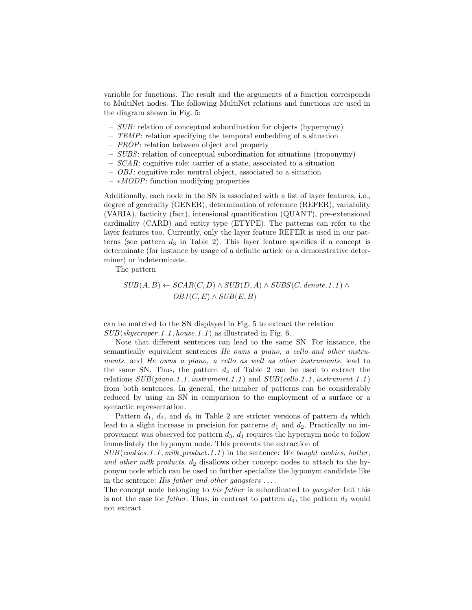variable for functions. The result and the arguments of a function corresponds to MultiNet nodes. The following MultiNet relations and functions are used in the diagram shown in Fig. 5:

- SUB: relation of conceptual subordination for objects (hypernymy)
- $-$  TEMP: relation specifying the temporal embedding of a situation
- PROP: relation between object and property
- SUBS: relation of conceptual subordination for situations (troponymy)
- $-SCAR$ : cognitive role: carrier of a state, associated to a situation
- $-$  *OBJ*: cognitive role: neutral object, associated to a situation
- ∗MODP: function modifying properties

Additionally, each node in the SN is associated with a list of layer features, i.e., degree of generality (GENER), determination of reference (REFER), variability (VARIA), facticity (fact), intensional quantification (QUANT), pre-extensional cardinality (CARD) and entity type (ETYPE). The patterns can refer to the layer features too. Currently, only the layer feature REFER is used in our patterns (see pattern  $d_3$  in Table 2). This layer feature specifies if a concept is determinate (for instance by usage of a definite article or a demonstrative determiner) or indeterminate.

The pattern

$$
SUB(A, B) \leftarrow SCAR(C, D) \land SUB(D, A) \land SUBS(C, denote.1.1) \landOBJ(C, E) \land SUB(E, B)
$$

can be matched to the SN displayed in Fig. 5 to extract the relation  $SUB(skyscraper.1.1, house.1.1)$  as illustrated in Fig. 6.

Note that different sentences can lead to the same SN. For instance, the semantically equivalent sentences He owns a piano, a cello and other instruments. and He owns a piano, a cello as well as other instruments. lead to the same SN. Thus, the pattern  $d_4$  of Table 2 can be used to extract the relations  $SUB(piano.1.1, instrument.1.1)$  and  $SUB(cello.1.1, instrument.1.1)$ from both sentences. In general, the number of patterns can be considerably reduced by using an SN in comparison to the employment of a surface or a syntactic representation.

Pattern  $d_1$ ,  $d_2$ , and  $d_3$  in Table 2 are stricter versions of pattern  $d_4$  which lead to a slight increase in precision for patterns  $d_1$  and  $d_2$ . Practically no improvement was observed for pattern  $d_3$ .  $d_1$  requires the hypernym node to follow immediately the hyponym node. This prevents the extraction of

 $SUB(cookies.1.1, milk-product.1.1)$  in the sentence: We bought cookies, butter, and other milk products.  $d_2$  disallows other concept nodes to attach to the hyponym node which can be used to further specialize the hyponym candidate like in the sentence: His father and other gangsters  $\dots$ .

The concept node belonging to *his father* is subordinated to *qangster* but this is not the case for *father*. Thus, in contrast to pattern  $d_4$ , the pattern  $d_2$  would not extract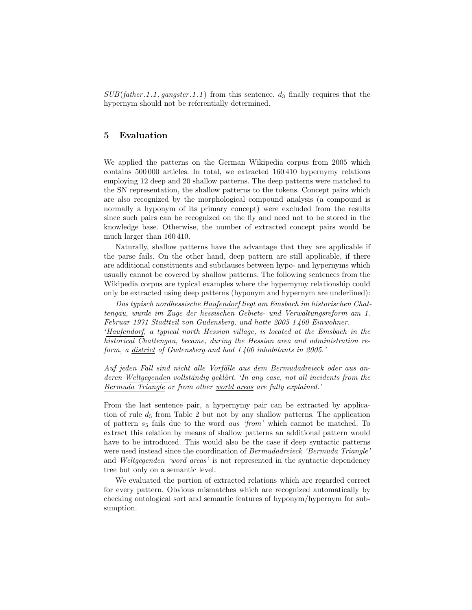$SUB(father.1.1, \textit{gangster}.1.1)$  from this sentence.  $d_3$  finally requires that the hypernym should not be referentially determined.

## 5 Evaluation

We applied the patterns on the German Wikipedia corpus from 2005 which contains 500 000 articles. In total, we extracted 160 410 hypernymy relations employing 12 deep and 20 shallow patterns. The deep patterns were matched to the SN representation, the shallow patterns to the tokens. Concept pairs which are also recognized by the morphological compound analysis (a compound is normally a hyponym of its primary concept) were excluded from the results since such pairs can be recognized on the fly and need not to be stored in the knowledge base. Otherwise, the number of extracted concept pairs would be much larger than 160 410.

Naturally, shallow patterns have the advantage that they are applicable if the parse fails. On the other hand, deep pattern are still applicable, if there are additional constituents and subclauses between hypo- and hypernyms which usually cannot be covered by shallow patterns. The following sentences from the Wikipedia corpus are typical examples where the hypernymy relationship could only be extracted using deep patterns (hyponym and hypernym are underlined):

Das typisch nordhessische Haufendorf liegt am Emsbach im historischen Chattengau, wurde im Zuge der hessischen Gebiets- und Verwaltungsreform am 1. Februar 1971 Stadtteil von Gudensberg, und hatte 2005 1 400 Einwohner. 'Haufendorf, a typical north Hessian village, is located at the Emsbach in the historical Chattengau, became, during the Hessian area and administration re-

Auf jeden Fall sind nicht alle Vorfälle aus dem Bermudadreieck oder aus anderen Weltgegenden vollständig geklärt. 'In any case, not all incidents from the Bermuda Triangle or from other world areas are fully explained.'

form, a district of Gudensberg and had 1 400 inhabitants in 2005.'

From the last sentence pair, a hypernymy pair can be extracted by application of rule  $d_5$  from Table 2 but not by any shallow patterns. The application of pattern  $s_5$  fails due to the word *aus 'from'* which cannot be matched. To extract this relation by means of shallow patterns an additional pattern would have to be introduced. This would also be the case if deep syntactic patterns were used instead since the coordination of *Bermudadreieck 'Bermuda Triangle'* and *Weltgegenden 'word areas'* is not represented in the syntactic dependency tree but only on a semantic level.

We evaluated the portion of extracted relations which are regarded correct for every pattern. Obvious mismatches which are recognized automatically by checking ontological sort and semantic features of hyponym/hypernym for subsumption.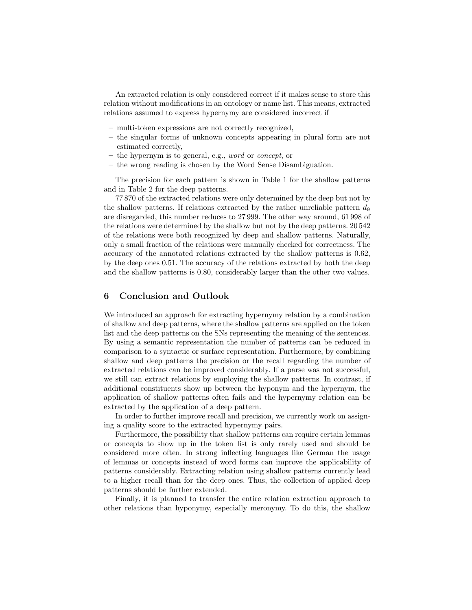An extracted relation is only considered correct if it makes sense to store this relation without modifications in an ontology or name list. This means, extracted relations assumed to express hypernymy are considered incorrect if

- multi-token expressions are not correctly recognized,
- the singular forms of unknown concepts appearing in plural form are not estimated correctly,
- the hypernym is to general, e.g., word or concept, or
- the wrong reading is chosen by the Word Sense Disambiguation.

The precision for each pattern is shown in Table 1 for the shallow patterns and in Table 2 for the deep patterns.

77 870 of the extracted relations were only determined by the deep but not by the shallow patterns. If relations extracted by the rather unreliable pattern  $d_9$ are disregarded, this number reduces to 27 999. The other way around, 61 998 of the relations were determined by the shallow but not by the deep patterns. 20 542 of the relations were both recognized by deep and shallow patterns. Naturally, only a small fraction of the relations were manually checked for correctness. The accuracy of the annotated relations extracted by the shallow patterns is 0.62, by the deep ones 0.51. The accuracy of the relations extracted by both the deep and the shallow patterns is 0.80, considerably larger than the other two values.

## 6 Conclusion and Outlook

We introduced an approach for extracting hypernymy relation by a combination of shallow and deep patterns, where the shallow patterns are applied on the token list and the deep patterns on the SNs representing the meaning of the sentences. By using a semantic representation the number of patterns can be reduced in comparison to a syntactic or surface representation. Furthermore, by combining shallow and deep patterns the precision or the recall regarding the number of extracted relations can be improved considerably. If a parse was not successful, we still can extract relations by employing the shallow patterns. In contrast, if additional constituents show up between the hyponym and the hypernym, the application of shallow patterns often fails and the hypernymy relation can be extracted by the application of a deep pattern.

In order to further improve recall and precision, we currently work on assigning a quality score to the extracted hypernymy pairs.

Furthermore, the possibility that shallow patterns can require certain lemmas or concepts to show up in the token list is only rarely used and should be considered more often. In strong inflecting languages like German the usage of lemmas or concepts instead of word forms can improve the applicability of patterns considerably. Extracting relation using shallow patterns currently lead to a higher recall than for the deep ones. Thus, the collection of applied deep patterns should be further extended.

Finally, it is planned to transfer the entire relation extraction approach to other relations than hyponymy, especially meronymy. To do this, the shallow